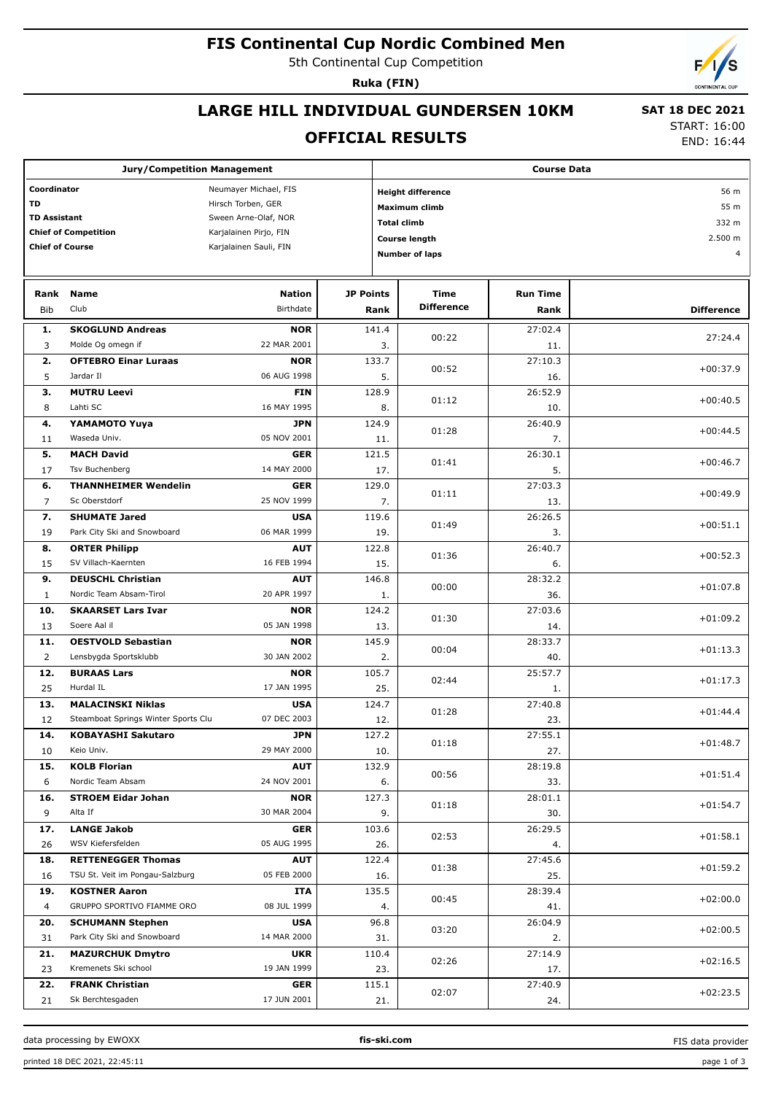## **FIS Continental Cup Nordic Combined Men**

5th Continental Cup Competition

**Ruka (FIN)**

## **LARGE HILL INDIVIDUAL GUNDERSEN 10KM**

# **SAT 18 DEC 2021**

**OFFICIAL RESULTS**

START: 16:00 END: 16:44

| <b>Jury/Competition Management</b>   |                                              |                           |                  |                                  | <b>Course Data</b>   |                 |                   |  |  |  |
|--------------------------------------|----------------------------------------------|---------------------------|------------------|----------------------------------|----------------------|-----------------|-------------------|--|--|--|
| Coordinator<br>Neumayer Michael, FIS |                                              |                           |                  | 56 m<br><b>Height difference</b> |                      |                 |                   |  |  |  |
| <b>TD</b><br>Hirsch Torben, GER      |                                              |                           |                  |                                  | Maximum climb        |                 | 55 m              |  |  |  |
| <b>TD Assistant</b>                  |                                              | Sween Arne-Olaf, NOR      |                  | <b>Total climb</b>               |                      |                 | 332 m             |  |  |  |
|                                      | <b>Chief of Competition</b>                  | Karjalainen Pirjo, FIN    |                  |                                  |                      |                 |                   |  |  |  |
| <b>Chief of Course</b>               |                                              | Karjalainen Sauli, FIN    |                  |                                  | <b>Course length</b> |                 | 2.500 m           |  |  |  |
|                                      |                                              |                           |                  |                                  | Number of laps       |                 | $\overline{4}$    |  |  |  |
|                                      |                                              |                           |                  |                                  |                      |                 |                   |  |  |  |
| Rank                                 | <b>Name</b>                                  | <b>Nation</b>             | <b>JP Points</b> |                                  | Time                 | <b>Run Time</b> |                   |  |  |  |
| <b>Bib</b>                           | Club                                         | Birthdate                 | Rank             |                                  | <b>Difference</b>    | Rank            | <b>Difference</b> |  |  |  |
|                                      |                                              |                           |                  |                                  |                      |                 |                   |  |  |  |
| 1.                                   | <b>SKOGLUND Andreas</b><br>Molde Og omegn if | <b>NOR</b><br>22 MAR 2001 | 141.4            |                                  | 00:22                | 27:02.4         | 27:24.4           |  |  |  |
| 3                                    |                                              |                           |                  | 3.                               |                      | 11.             |                   |  |  |  |
| 2.<br>5                              | <b>OFTEBRO Einar Luraas</b><br>Jardar II     | <b>NOR</b><br>06 AUG 1998 | 133.7            | 5.                               | 00:52                | 27:10.3         | $+00:37.9$        |  |  |  |
|                                      |                                              |                           |                  |                                  |                      | 16.             |                   |  |  |  |
| з.                                   | <b>MUTRU Leevi</b>                           | <b>FIN</b>                | 128.9            |                                  | 01:12                | 26:52.9         | $+00:40.5$        |  |  |  |
| 8                                    | Lahti SC                                     | 16 MAY 1995               |                  | 8.                               |                      | 10.             |                   |  |  |  |
| 4.                                   | <b>YAMAMOTO Yuya</b>                         | <b>JPN</b>                | 124.9            |                                  | 01:28                | 26:40.9         | $+00:44.5$        |  |  |  |
| 11                                   | Waseda Univ.                                 | 05 NOV 2001               |                  | 11.                              |                      | 7.              |                   |  |  |  |
| 5.                                   | <b>MACH David</b>                            | <b>GER</b>                | 121.5            |                                  | 01:41                | 26:30.1         | $+00:46.7$        |  |  |  |
| 17                                   | Tsv Buchenberg                               | 14 MAY 2000               |                  | 17.                              |                      | 5.              |                   |  |  |  |
| 6.                                   | <b>THANNHEIMER Wendelin</b>                  | <b>GER</b>                | 129.0            |                                  | 01:11                | 27:03.3         | $+00:49.9$        |  |  |  |
| $\overline{7}$                       | Sc Oberstdorf                                | 25 NOV 1999               |                  | 7.                               |                      | 13.             |                   |  |  |  |
| 7.                                   | <b>SHUMATE Jared</b>                         | <b>USA</b>                | 119.6            |                                  | 01:49                | 26:26.5         | $+00:51.1$        |  |  |  |
| 19                                   | Park City Ski and Snowboard                  | 06 MAR 1999               |                  | 19.                              |                      | 3.              |                   |  |  |  |
| 8.                                   | <b>ORTER Philipp</b>                         | <b>AUT</b>                | 122.8            |                                  | 01:36                | 26:40.7         | $+00:52.3$        |  |  |  |
| 15                                   | SV Villach-Kaernten                          | 16 FEB 1994               |                  | 15.                              |                      | 6.              |                   |  |  |  |
| 9.                                   | <b>DEUSCHL Christian</b>                     | AUT                       | 146.8            |                                  | 00:00                | 28:32.2         | $+01:07.8$        |  |  |  |
| $\mathbf{1}$                         | Nordic Team Absam-Tirol                      | 20 APR 1997               |                  | 1.                               |                      | 36.             |                   |  |  |  |
| 10.                                  | <b>SKAARSET Lars Ivar</b>                    | <b>NOR</b>                | 124.2            |                                  | 01:30                | 27:03.6         | $+01:09.2$        |  |  |  |
| 13                                   | Soere Aal il                                 | 05 JAN 1998               |                  | 13.                              |                      | 14.             |                   |  |  |  |
| 11.                                  | <b>OESTVOLD Sebastian</b>                    | <b>NOR</b>                | 145.9            |                                  | 00:04                | 28:33.7         | $+01:13.3$        |  |  |  |
| $\overline{2}$                       | Lensbygda Sportsklubb                        | 30 JAN 2002               |                  | 2.                               |                      | 40.             |                   |  |  |  |
| 12.                                  | <b>BURAAS Lars</b>                           | <b>NOR</b>                | 105.7            |                                  | 02:44                | 25:57.7         | $+01:17.3$        |  |  |  |
| 25                                   | Hurdal IL                                    | 17 JAN 1995               |                  | 25.                              |                      | 1.              |                   |  |  |  |
| 13.                                  | <b>MALACINSKI Niklas</b>                     | <b>USA</b>                | 124.7            |                                  | 01:28                | 27:40.8         | $+01:44.4$        |  |  |  |
| 12                                   | Steamboat Springs Winter Sports Clu          | 07 DEC 2003               |                  | 12.                              |                      | 23.             |                   |  |  |  |
| 14.                                  | <b>KOBAYASHI Sakutaro</b>                    | <b>JPN</b>                | 127.2            |                                  |                      | 27:55.1         |                   |  |  |  |
| 10                                   | Keio Univ.                                   | 29 MAY 2000               |                  | 10.                              | 01:18                | 27.             | $+01:48.7$        |  |  |  |
| 15.                                  | <b>KOLB Florian</b>                          | <b>AUT</b>                | 132.9            |                                  |                      | 28:19.8         |                   |  |  |  |
| 6                                    | Nordic Team Absam                            | 24 NOV 2001               |                  | 6.                               | 00:56                | 33.             | $+01:51.4$        |  |  |  |
| 16.                                  | <b>STROEM Eidar Johan</b>                    | <b>NOR</b>                | 127.3            |                                  |                      | 28:01.1         |                   |  |  |  |
| 9                                    | Alta If                                      | 30 MAR 2004               |                  | 9.                               | 01:18                | 30.             | $+01:54.7$        |  |  |  |
| 17.                                  | <b>LANGE Jakob</b>                           | <b>GER</b>                | 103.6            |                                  |                      | 26:29.5         |                   |  |  |  |
| 26                                   | WSV Kiefersfelden                            | 05 AUG 1995               |                  | 26.                              | 02:53                | 4.              | $+01:58.1$        |  |  |  |
| 18.                                  | <b>RETTENEGGER Thomas</b>                    | <b>AUT</b>                | 122.4            |                                  |                      | 27:45.6         |                   |  |  |  |
| 16                                   | TSU St. Veit im Pongau-Salzburg              | 05 FEB 2000               |                  | 16.                              | 01:38                | 25.             | $+01:59.2$        |  |  |  |
| 19.                                  | <b>KOSTNER Aaron</b>                         | ITA                       | 135.5            |                                  |                      | 28:39.4         |                   |  |  |  |
| 4                                    | GRUPPO SPORTIVO FIAMME ORO                   | 08 JUL 1999               |                  | 4.                               | 00:45                | 41.             | $+02:00.0$        |  |  |  |
| 20.                                  | <b>SCHUMANN Stephen</b>                      | <b>USA</b>                | 96.8             |                                  |                      | 26:04.9         |                   |  |  |  |
| 31                                   | Park City Ski and Snowboard                  | 14 MAR 2000               |                  | 31.                              | 03:20                | 2.              | $+02:00.5$        |  |  |  |
| 21.                                  | <b>MAZURCHUK Dmytro</b>                      | <b>UKR</b>                | 110.4            |                                  |                      | 27:14.9         |                   |  |  |  |
| 23                                   | Kremenets Ski school                         | 19 JAN 1999               |                  | 23.                              | 02:26                | 17.             | $+02:16.5$        |  |  |  |
| 22.                                  | <b>FRANK Christian</b>                       | <b>GER</b>                | 115.1            |                                  |                      | 27:40.9         |                   |  |  |  |
| 21                                   | Sk Berchtesgaden                             | 17 JUN 2001               |                  | 21.                              | 02:07                | 24.             | $+02:23.5$        |  |  |  |
|                                      |                                              |                           |                  |                                  |                      |                 |                   |  |  |  |

data processing by EWOXX **fis-ski.com**

FIS data provider

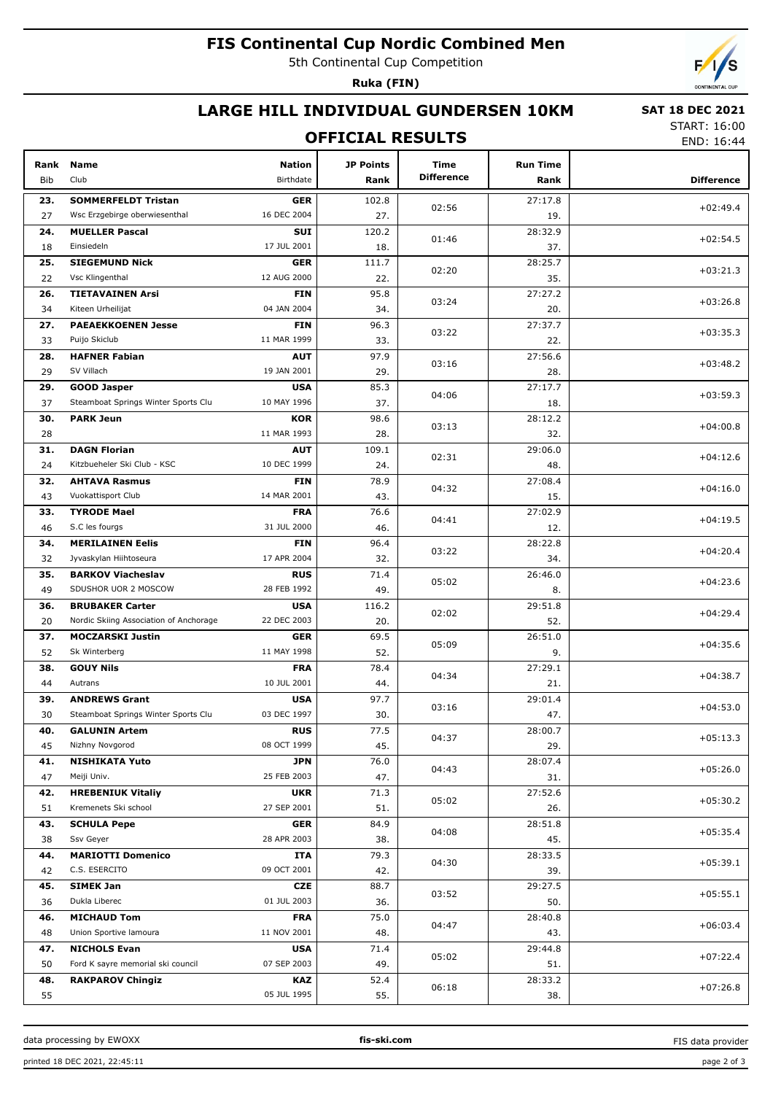## **FIS Continental Cup Nordic Combined Men**

5th Continental Cup Competition

**Ruka (FIN)**



### **LARGE HILL INDIVIDUAL GUNDERSEN 10KM**

#### **OFFICIAL RESULTS**

 **SAT 18 DEC 2021** START: 16:00

END: 16:44

| Rank<br><b>Bib</b> | <b>Name</b><br>Club                                              | <b>Nation</b><br>Birthdate | <b>JP Points</b><br>Rank | Time<br><b>Difference</b> | <b>Run Time</b><br>Rank | <b>Difference</b> |
|--------------------|------------------------------------------------------------------|----------------------------|--------------------------|---------------------------|-------------------------|-------------------|
| 23.                | <b>SOMMERFELDT Tristan</b>                                       | <b>GER</b>                 | 102.8                    |                           | 27:17.8                 |                   |
| 27                 | Wsc Erzgebirge oberwiesenthal                                    | 16 DEC 2004                | 27.                      | 02:56                     | 19.                     | $+02:49.4$        |
| 24.                | <b>MUELLER Pascal</b>                                            | <b>SUI</b>                 | 120.2                    |                           | 28:32.9                 |                   |
| 18                 | Einsiedeln                                                       | 17 JUL 2001                | 18.                      | 01:46                     | 37.                     | $+02:54.5$        |
| 25.                | <b>SIEGEMUND Nick</b>                                            | <b>GER</b>                 | 111.7                    |                           | 28:25.7                 |                   |
| 22                 | Vsc Klingenthal                                                  | 12 AUG 2000                | 22.                      | 02:20                     | 35.                     | $+03:21.3$        |
| 26.                | <b>TIETAVAINEN Arsi</b>                                          | <b>FIN</b>                 | 95.8                     |                           | 27:27.2                 |                   |
| 34                 | Kiteen Urheilijat                                                | 04 JAN 2004                | 34.                      | 03:24                     | 20.                     | $+03:26.8$        |
| 27.                | <b>PAEAEKKOENEN Jesse</b>                                        | <b>FIN</b>                 | 96.3                     |                           | 27:37.7                 |                   |
| 33                 | Puijo Skiclub                                                    | 11 MAR 1999                | 33.                      | 03:22                     | 22.                     | $+03:35.3$        |
| 28.                | <b>HAFNER Fabian</b>                                             | <b>AUT</b>                 | 97.9                     |                           | 27:56.6                 |                   |
| 29                 | SV Villach                                                       | 19 JAN 2001                | 29.                      | 03:16                     | 28.                     | $+03:48.2$        |
| 29.                | <b>GOOD Jasper</b>                                               | <b>USA</b>                 | 85.3                     |                           | 27:17.7                 |                   |
| 37                 | Steamboat Springs Winter Sports Clu                              | 10 MAY 1996                | 37.                      | 04:06                     | 18.                     | $+03:59.3$        |
| 30.                | <b>PARK Jeun</b>                                                 | <b>KOR</b>                 | 98.6                     |                           | 28:12.2                 |                   |
| 28                 |                                                                  | 11 MAR 1993                | 28.                      | 03:13                     | 32.                     | $+04:00.8$        |
| 31.                | <b>DAGN Florian</b>                                              | <b>AUT</b>                 | 109.1                    |                           | 29:06.0                 |                   |
| 24                 | Kitzbueheler Ski Club - KSC                                      | 10 DEC 1999                | 24.                      | 02:31                     | 48.                     | $+04:12.6$        |
| 32.                | <b>AHTAVA Rasmus</b>                                             | <b>FIN</b>                 | 78.9                     |                           | 27:08.4                 |                   |
| 43                 | Vuokattisport Club                                               | 14 MAR 2001                | 43.                      | 04:32                     | 15.                     | $+04:16.0$        |
| 33.                | <b>TYRODE Mael</b>                                               | <b>FRA</b>                 | 76.6                     |                           | 27:02.9                 |                   |
| 46                 | S.C les fourgs                                                   | 31 JUL 2000                | 46.                      | 04:41                     | 12.                     | $+04:19.5$        |
| 34.                | <b>MERILAINEN Eelis</b>                                          | <b>FIN</b>                 | 96.4                     |                           | 28:22.8                 |                   |
| 32                 | Jyvaskylan Hiihtoseura                                           | 17 APR 2004                | 32.                      | 03:22                     | 34.                     | $+04:20.4$        |
| 35.                | <b>BARKOV Viacheslav</b>                                         | <b>RUS</b>                 | 71.4                     |                           | 26:46.0                 |                   |
| 49                 | SDUSHOR UOR 2 MOSCOW                                             | 28 FEB 1992                | 49.                      | 05:02                     | 8.                      | $+04:23.6$        |
| 36.                |                                                                  | <b>USA</b>                 |                          |                           | 29:51.8                 |                   |
| 20                 | <b>BRUBAKER Carter</b><br>Nordic Skiing Association of Anchorage | 22 DEC 2003                | 116.2<br>20.             | 02:02                     | 52.                     | $+04:29.4$        |
| 37.                | <b>MOCZARSKI Justin</b>                                          | <b>GER</b>                 | 69.5                     |                           | 26:51.0                 |                   |
| 52                 | Sk Winterberg                                                    | 11 MAY 1998                | 52.                      | 05:09                     | 9.                      | $+04:35.6$        |
| 38.                | <b>GOUY Nils</b>                                                 | <b>FRA</b>                 | 78.4                     |                           | 27:29.1                 |                   |
| 44                 | Autrans                                                          | 10 JUL 2001                | 44.                      | 04:34                     | 21.                     | $+04:38.7$        |
| 39.                | <b>ANDREWS Grant</b>                                             | <b>USA</b>                 | 97.7                     |                           | 29:01.4                 |                   |
| 30                 | Steamboat Springs Winter Sports Clu                              | 03 DEC 1997                | 30.                      | 03:16                     | 47.                     | $+04:53.0$        |
| 40.                | <b>GALUNIN Artem</b>                                             | RUS                        | 77.5                     |                           | 28:00.7                 |                   |
| 45                 | Nizhny Novgorod                                                  | 08 OCT 1999                | 45.                      | 04:37                     | 29.                     | $+05:13.3$        |
| 41.                | <b>NISHIKATA Yuto</b>                                            | <b>JPN</b>                 | 76.0                     |                           | 28:07.4                 |                   |
| 47                 | Meiji Univ.                                                      | 25 FEB 2003                | 47.                      | 04:43                     | 31.                     | $+05:26.0$        |
| 42.                | <b>HREBENIUK Vitaliy</b>                                         | <b>UKR</b>                 | 71.3                     |                           | 27:52.6                 |                   |
| 51                 | Kremenets Ski school                                             | 27 SEP 2001                | 51.                      | 05:02                     | 26.                     | $+05:30.2$        |
| 43.                | <b>SCHULA Pepe</b>                                               | <b>GER</b>                 | 84.9                     |                           | 28:51.8                 |                   |
| 38                 | Ssv Geyer                                                        | 28 APR 2003                | 38.                      | 04:08                     | 45.                     | $+05:35.4$        |
| 44.                | <b>MARIOTTI Domenico</b>                                         | <b>ITA</b>                 | 79.3                     |                           | 28:33.5                 |                   |
|                    | C.S. ESERCITO                                                    | 09 OCT 2001                |                          | 04:30                     |                         | $+05:39.1$        |
| 42<br>45.          | <b>SIMEK Jan</b>                                                 | <b>CZE</b>                 | 42.<br>88.7              |                           | 39.<br>29:27.5          |                   |
| 36                 | Dukla Liberec                                                    | 01 JUL 2003                | 36.                      | 03:52                     |                         | $+05:55.1$        |
|                    |                                                                  | <b>FRA</b>                 | 75.0                     |                           | 50.<br>28:40.8          |                   |
| 46.<br>48          | <b>MICHAUD Tom</b><br>Union Sportive lamoura                     | 11 NOV 2001                | 48.                      | 04:47                     |                         | $+06:03.4$        |
| 47.                |                                                                  | <b>USA</b>                 | 71.4                     |                           | 43.<br>29:44.8          |                   |
| 50                 | <b>NICHOLS Evan</b><br>Ford K sayre memorial ski council         | 07 SEP 2003                |                          | 05:02                     |                         | +07:22.4          |
| 48.                | <b>RAKPAROV Chingiz</b>                                          | <b>KAZ</b>                 | 49.<br>52.4              |                           | 51.<br>28:33.2          |                   |
| 55                 |                                                                  | 05 JUL 1995                | 55.                      | 06:18                     | 38.                     | $+07:26.8$        |

data processing by EWOXX **fis-ski.com**

FIS data provider